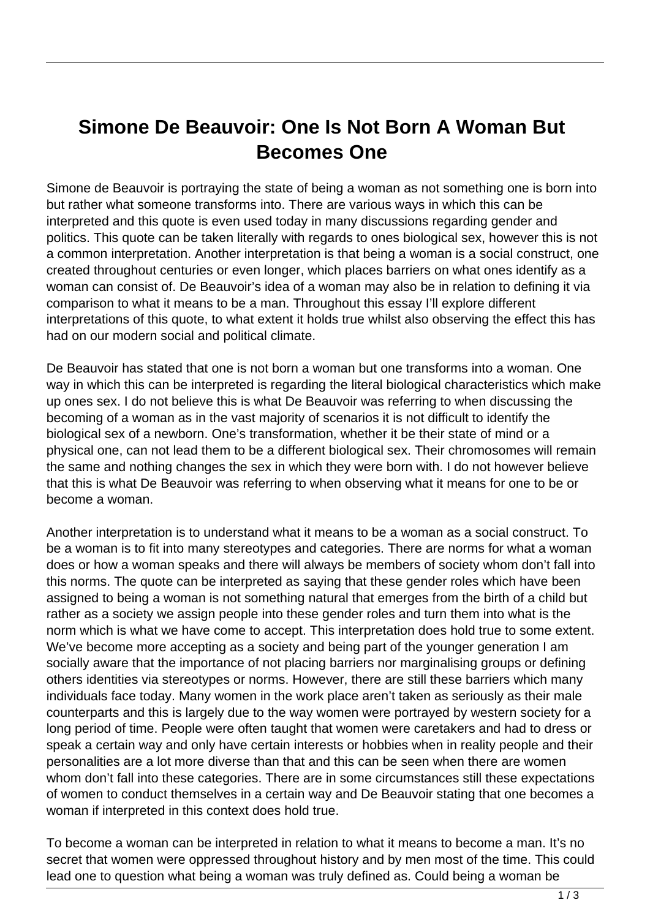## **Simone De Beauvoir: One Is Not Born A Woman But Becomes One**

Simone de Beauvoir is portraying the state of being a woman as not something one is born into but rather what someone transforms into. There are various ways in which this can be interpreted and this quote is even used today in many discussions regarding gender and politics. This quote can be taken literally with regards to ones biological sex, however this is not a common interpretation. Another interpretation is that being a woman is a social construct, one created throughout centuries or even longer, which places barriers on what ones identify as a woman can consist of. De Beauvoir's idea of a woman may also be in relation to defining it via comparison to what it means to be a man. Throughout this essay I'll explore different interpretations of this quote, to what extent it holds true whilst also observing the effect this has had on our modern social and political climate.

De Beauvoir has stated that one is not born a woman but one transforms into a woman. One way in which this can be interpreted is regarding the literal biological characteristics which make up ones sex. I do not believe this is what De Beauvoir was referring to when discussing the becoming of a woman as in the vast majority of scenarios it is not difficult to identify the biological sex of a newborn. One's transformation, whether it be their state of mind or a physical one, can not lead them to be a different biological sex. Their chromosomes will remain the same and nothing changes the sex in which they were born with. I do not however believe that this is what De Beauvoir was referring to when observing what it means for one to be or become a woman.

Another interpretation is to understand what it means to be a woman as a social construct. To be a woman is to fit into many stereotypes and categories. There are norms for what a woman does or how a woman speaks and there will always be members of society whom don't fall into this norms. The quote can be interpreted as saying that these gender roles which have been assigned to being a woman is not something natural that emerges from the birth of a child but rather as a society we assign people into these gender roles and turn them into what is the norm which is what we have come to accept. This interpretation does hold true to some extent. We've become more accepting as a society and being part of the younger generation I am socially aware that the importance of not placing barriers nor marginalising groups or defining others identities via stereotypes or norms. However, there are still these barriers which many individuals face today. Many women in the work place aren't taken as seriously as their male counterparts and this is largely due to the way women were portrayed by western society for a long period of time. People were often taught that women were caretakers and had to dress or speak a certain way and only have certain interests or hobbies when in reality people and their personalities are a lot more diverse than that and this can be seen when there are women whom don't fall into these categories. There are in some circumstances still these expectations of women to conduct themselves in a certain way and De Beauvoir stating that one becomes a woman if interpreted in this context does hold true.

To become a woman can be interpreted in relation to what it means to become a man. It's no secret that women were oppressed throughout history and by men most of the time. This could lead one to question what being a woman was truly defined as. Could being a woman be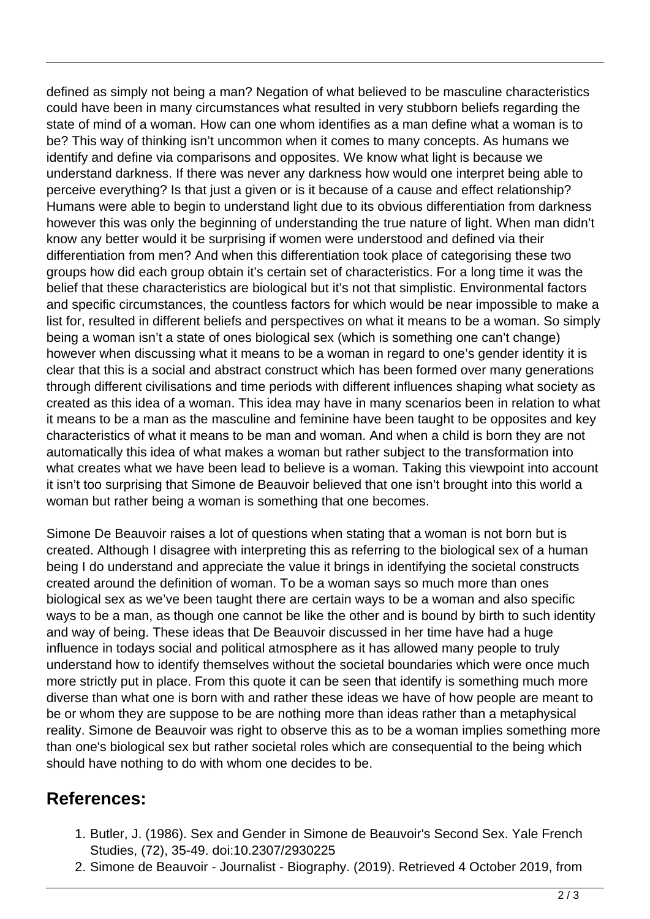defined as simply not being a man? Negation of what believed to be masculine characteristics could have been in many circumstances what resulted in very stubborn beliefs regarding the state of mind of a woman. How can one whom identifies as a man define what a woman is to be? This way of thinking isn't uncommon when it comes to many concepts. As humans we identify and define via comparisons and opposites. We know what light is because we understand darkness. If there was never any darkness how would one interpret being able to perceive everything? Is that just a given or is it because of a cause and effect relationship? Humans were able to begin to understand light due to its obvious differentiation from darkness however this was only the beginning of understanding the true nature of light. When man didn't know any better would it be surprising if women were understood and defined via their differentiation from men? And when this differentiation took place of categorising these two groups how did each group obtain it's certain set of characteristics. For a long time it was the belief that these characteristics are biological but it's not that simplistic. Environmental factors and specific circumstances, the countless factors for which would be near impossible to make a list for, resulted in different beliefs and perspectives on what it means to be a woman. So simply being a woman isn't a state of ones biological sex (which is something one can't change) however when discussing what it means to be a woman in regard to one's gender identity it is clear that this is a social and abstract construct which has been formed over many generations through different civilisations and time periods with different influences shaping what society as created as this idea of a woman. This idea may have in many scenarios been in relation to what it means to be a man as the masculine and feminine have been taught to be opposites and key characteristics of what it means to be man and woman. And when a child is born they are not automatically this idea of what makes a woman but rather subject to the transformation into what creates what we have been lead to believe is a woman. Taking this viewpoint into account it isn't too surprising that Simone de Beauvoir believed that one isn't brought into this world a woman but rather being a woman is something that one becomes.

Simone De Beauvoir raises a lot of questions when stating that a woman is not born but is created. Although I disagree with interpreting this as referring to the biological sex of a human being I do understand and appreciate the value it brings in identifying the societal constructs created around the definition of woman. To be a woman says so much more than ones biological sex as we've been taught there are certain ways to be a woman and also specific ways to be a man, as though one cannot be like the other and is bound by birth to such identity and way of being. These ideas that De Beauvoir discussed in her time have had a huge influence in todays social and political atmosphere as it has allowed many people to truly understand how to identify themselves without the societal boundaries which were once much more strictly put in place. From this quote it can be seen that identify is something much more diverse than what one is born with and rather these ideas we have of how people are meant to be or whom they are suppose to be are nothing more than ideas rather than a metaphysical reality. Simone de Beauvoir was right to observe this as to be a woman implies something more than one's biological sex but rather societal roles which are consequential to the being which should have nothing to do with whom one decides to be.

## **References:**

- 1. Butler, J. (1986). Sex and Gender in Simone de Beauvoir's Second Sex. Yale French Studies, (72), 35-49. doi:10.2307/2930225
- 2. Simone de Beauvoir Journalist Biography. (2019). Retrieved 4 October 2019, from